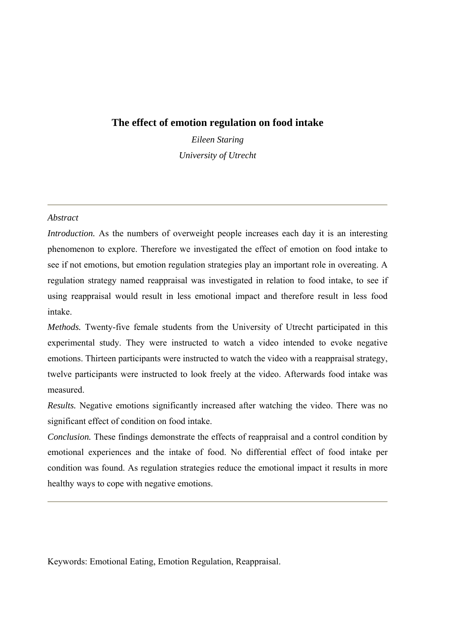# **The effect of emotion regulation on food intake**

*Eileen Staring University of Utrecht* 

#### *Abstract*

*Introduction.* As the numbers of overweight people increases each day it is an interesting phenomenon to explore. Therefore we investigated the effect of emotion on food intake to see if not emotions, but emotion regulation strategies play an important role in overeating. A regulation strategy named reappraisal was investigated in relation to food intake, to see if using reappraisal would result in less emotional impact and therefore result in less food intake.

*Methods.* Twenty-five female students from the University of Utrecht participated in this experimental study. They were instructed to watch a video intended to evoke negative emotions. Thirteen participants were instructed to watch the video with a reappraisal strategy, twelve participants were instructed to look freely at the video. Afterwards food intake was measured.

*Results.* Negative emotions significantly increased after watching the video. There was no significant effect of condition on food intake.

*Conclusion.* These findings demonstrate the effects of reappraisal and a control condition by emotional experiences and the intake of food. No differential effect of food intake per condition was found. As regulation strategies reduce the emotional impact it results in more healthy ways to cope with negative emotions.

Keywords: Emotional Eating, Emotion Regulation, Reappraisal.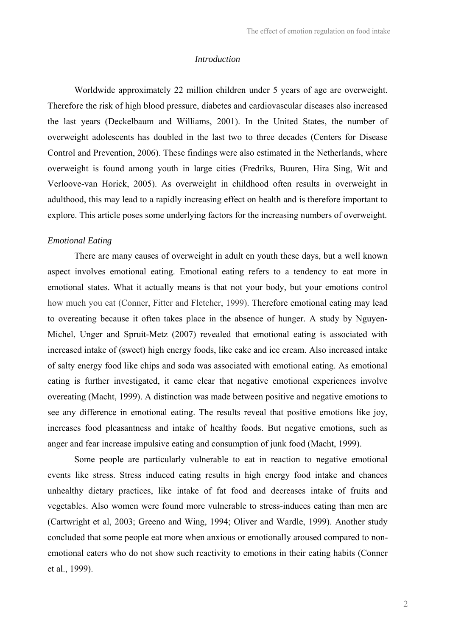#### *Introduction*

Worldwide approximately 22 million children under 5 years of age are overweight. Therefore the risk of high blood pressure, diabetes and cardiovascular diseases also increased the last years (Deckelbaum and Williams, 2001). In the United States, the number of overweight adolescents has doubled in the last two to three decades (Centers for Disease Control and Prevention, 2006). These findings were also estimated in the Netherlands, where overweight is found among youth in large cities (Fredriks, Buuren, Hira Sing, Wit and Verloove-van Horick, 2005). As overweight in childhood often results in overweight in adulthood, this may lead to a rapidly increasing effect on health and is therefore important to explore. This article poses some underlying factors for the increasing numbers of overweight.

#### *Emotional Eating*

There are many causes of overweight in adult en youth these days, but a well known aspect involves emotional eating. Emotional eating refers to a tendency to eat more in emotional states. What it actually means is that not your body, but your emotions control how much you eat (Conner, Fitter and Fletcher, 1999). Therefore emotional eating may lead to overeating because it often takes place in the absence of hunger. A study by Nguyen-Michel, Unger and Spruit-Metz (2007) revealed that emotional eating is associated with increased intake of (sweet) high energy foods, like cake and ice cream. Also increased intake of salty energy food like chips and soda was associated with emotional eating. As emotional eating is further investigated, it came clear that negative emotional experiences involve overeating (Macht, 1999). A distinction was made between positive and negative emotions to see any difference in emotional eating. The results reveal that positive emotions like joy, increases food pleasantness and intake of healthy foods. But negative emotions, such as anger and fear increase impulsive eating and consumption of junk food (Macht, 1999).

Some people are particularly vulnerable to eat in reaction to negative emotional events like stress. Stress induced eating results in high energy food intake and chances unhealthy dietary practices, like intake of fat food and decreases intake of fruits and vegetables. Also women were found more vulnerable to stress-induces eating than men are (Cartwright et al, 2003; Greeno and Wing, 1994; Oliver and Wardle, 1999). Another study concluded that some people eat more when anxious or emotionally aroused compared to nonemotional eaters who do not show such reactivity to emotions in their eating habits (Conner et al., 1999).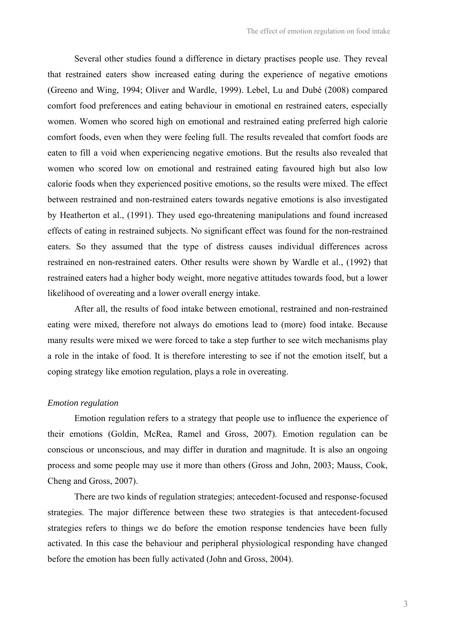Several other studies found a difference in dietary practises people use. They reveal that restrained eaters show increased eating during the experience of negative emotions (Greeno and Wing, 1994; Oliver and Wardle, 1999). Lebel, Lu and Dubé (2008) compared comfort food preferences and eating behaviour in emotional en restrained eaters, especially women. Women who scored high on emotional and restrained eating preferred high calorie comfort foods, even when they were feeling full. The results revealed that comfort foods are eaten to fill a void when experiencing negative emotions. But the results also revealed that women who scored low on emotional and restrained eating favoured high but also low calorie foods when they experienced positive emotions, so the results were mixed. The effect between restrained and non-restrained eaters towards negative emotions is also investigated by Heatherton et al., (1991). They used ego-threatening manipulations and found increased effects of eating in restrained subjects. No significant effect was found for the non-restrained eaters. So they assumed that the type of distress causes individual differences across restrained en non-restrained eaters. Other results were shown by Wardle et al., (1992) that restrained eaters had a higher body weight, more negative attitudes towards food, but a lower likelihood of overeating and a lower overall energy intake.

 After all, the results of food intake between emotional, restrained and non-restrained eating were mixed, therefore not always do emotions lead to (more) food intake. Because many results were mixed we were forced to take a step further to see witch mechanisms play a role in the intake of food. It is therefore interesting to see if not the emotion itself, but a coping strategy like emotion regulation, plays a role in overeating.

#### *Emotion regulation*

Emotion regulation refers to a strategy that people use to influence the experience of their emotions (Goldin, McRea, Ramel and Gross, 2007). Emotion regulation can be conscious or unconscious, and may differ in duration and magnitude. It is also an ongoing process and some people may use it more than others (Gross and John, 2003; Mauss, Cook, Cheng and Gross, 2007).

There are two kinds of regulation strategies; antecedent-focused and response-focused strategies. The major difference between these two strategies is that antecedent-focused strategies refers to things we do before the emotion response tendencies have been fully activated. In this case the behaviour and peripheral physiological responding have changed before the emotion has been fully activated (John and Gross, 2004).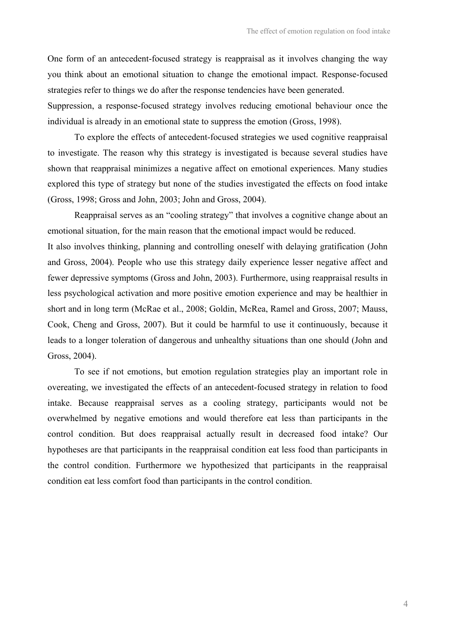One form of an antecedent-focused strategy is reappraisal as it involves changing the way you think about an emotional situation to change the emotional impact. Response-focused strategies refer to things we do after the response tendencies have been generated.

Suppression, a response-focused strategy involves reducing emotional behaviour once the individual is already in an emotional state to suppress the emotion (Gross, 1998).

To explore the effects of antecedent-focused strategies we used cognitive reappraisal to investigate. The reason why this strategy is investigated is because several studies have shown that reappraisal minimizes a negative affect on emotional experiences. Many studies explored this type of strategy but none of the studies investigated the effects on food intake (Gross, 1998; Gross and John, 2003; John and Gross, 2004).

Reappraisal serves as an "cooling strategy" that involves a cognitive change about an emotional situation, for the main reason that the emotional impact would be reduced. It also involves thinking, planning and controlling oneself with delaying gratification (John and Gross, 2004). People who use this strategy daily experience lesser negative affect and fewer depressive symptoms (Gross and John, 2003). Furthermore, using reappraisal results in less psychological activation and more positive emotion experience and may be healthier in short and in long term (McRae et al., 2008; Goldin, McRea, Ramel and Gross, 2007; Mauss, Cook, Cheng and Gross, 2007). But it could be harmful to use it continuously, because it leads to a longer toleration of dangerous and unhealthy situations than one should (John and Gross, 2004).

To see if not emotions, but emotion regulation strategies play an important role in overeating, we investigated the effects of an antecedent-focused strategy in relation to food intake. Because reappraisal serves as a cooling strategy, participants would not be overwhelmed by negative emotions and would therefore eat less than participants in the control condition. But does reappraisal actually result in decreased food intake? Our hypotheses are that participants in the reappraisal condition eat less food than participants in the control condition. Furthermore we hypothesized that participants in the reappraisal condition eat less comfort food than participants in the control condition.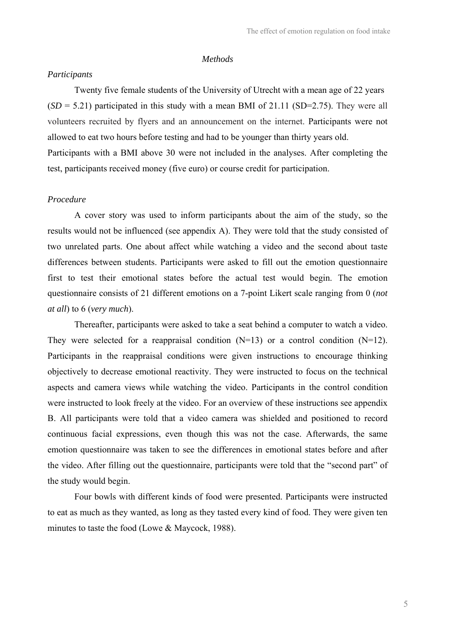#### *Methods*

### *Participants*

Twenty five female students of the University of Utrecht with a mean age of 22 years  $(SD = 5.21)$  participated in this study with a mean BMI of 21.11 (SD=2.75). They were all volunteers recruited by flyers and an announcement on the internet. Participants were not allowed to eat two hours before testing and had to be younger than thirty years old. Participants with a BMI above 30 were not included in the analyses. After completing the test, participants received money (five euro) or course credit for participation.

## *Procedure*

A cover story was used to inform participants about the aim of the study, so the results would not be influenced (see appendix A). They were told that the study consisted of two unrelated parts. One about affect while watching a video and the second about taste differences between students. Participants were asked to fill out the emotion questionnaire first to test their emotional states before the actual test would begin. The emotion questionnaire consists of 21 different emotions on a 7-point Likert scale ranging from 0 (*not at all*) to 6 (*very much*).

Thereafter, participants were asked to take a seat behind a computer to watch a video. They were selected for a reappraisal condition  $(N=13)$  or a control condition  $(N=12)$ . Participants in the reappraisal conditions were given instructions to encourage thinking objectively to decrease emotional reactivity. They were instructed to focus on the technical aspects and camera views while watching the video. Participants in the control condition were instructed to look freely at the video. For an overview of these instructions see appendix B. All participants were told that a video camera was shielded and positioned to record continuous facial expressions, even though this was not the case. Afterwards, the same emotion questionnaire was taken to see the differences in emotional states before and after the video. After filling out the questionnaire, participants were told that the "second part" of the study would begin.

Four bowls with different kinds of food were presented. Participants were instructed to eat as much as they wanted, as long as they tasted every kind of food. They were given ten minutes to taste the food (Lowe & Maycock, 1988).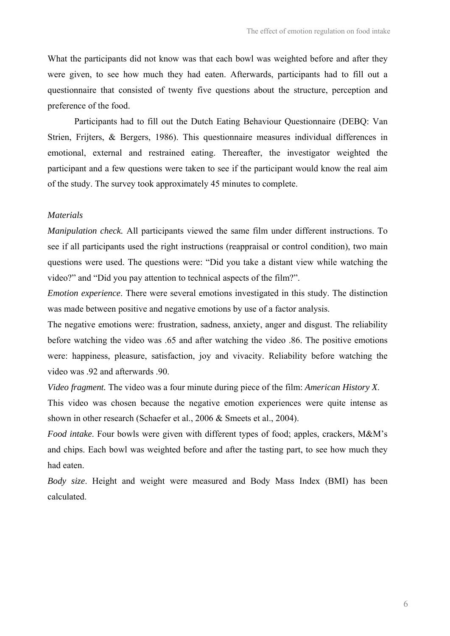What the participants did not know was that each bowl was weighted before and after they were given, to see how much they had eaten. Afterwards, participants had to fill out a questionnaire that consisted of twenty five questions about the structure, perception and preference of the food.

Participants had to fill out the Dutch Eating Behaviour Questionnaire (DEBQ: Van Strien, Frijters, & Bergers, 1986). This questionnaire measures individual differences in emotional, external and restrained eating. Thereafter, the investigator weighted the participant and a few questions were taken to see if the participant would know the real aim of the study. The survey took approximately 45 minutes to complete.

#### *Materials*

*Manipulation check.* All participants viewed the same film under different instructions. To see if all participants used the right instructions (reappraisal or control condition), two main questions were used. The questions were: "Did you take a distant view while watching the video?" and "Did you pay attention to technical aspects of the film?".

*Emotion experience*. There were several emotions investigated in this study. The distinction was made between positive and negative emotions by use of a factor analysis.

The negative emotions were: frustration, sadness, anxiety, anger and disgust. The reliability before watching the video was .65 and after watching the video .86. The positive emotions were: happiness, pleasure, satisfaction, joy and vivacity. Reliability before watching the video was .92 and afterwards .90.

*Video fragment.* The video was a four minute during piece of the film: *American History X*.

This video was chosen because the negative emotion experiences were quite intense as shown in other research (Schaefer et al., 2006 & Smeets et al., 2004).

*Food intake*. Four bowls were given with different types of food; apples, crackers, M&M's and chips. Each bowl was weighted before and after the tasting part, to see how much they had eaten.

*Body size*. Height and weight were measured and Body Mass Index (BMI) has been calculated.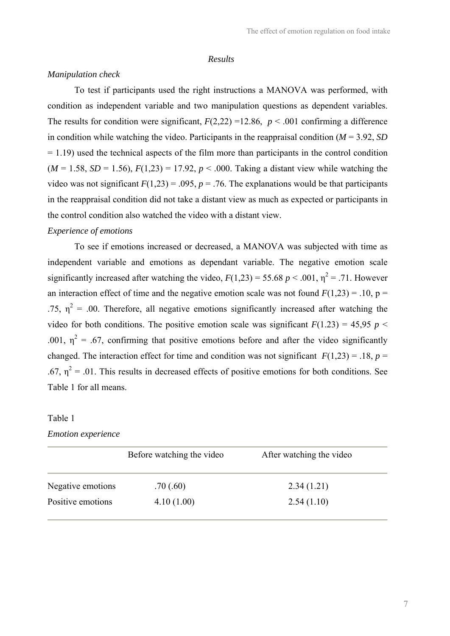#### *Results*

### *Manipulation check*

To test if participants used the right instructions a MANOVA was performed, with condition as independent variable and two manipulation questions as dependent variables. The results for condition were significant,  $F(2,22) = 12.86$ ,  $p < .001$  confirming a difference in condition while watching the video. Participants in the reappraisal condition  $(M = 3.92, SD)$  $= 1.19$ ) used the technical aspects of the film more than participants in the control condition  $(M = 1.58, SD = 1.56), F(1,23) = 17.92, p < .000$ . Taking a distant view while watching the video was not significant  $F(1,23) = .095$ ,  $p = .76$ . The explanations would be that participants in the reappraisal condition did not take a distant view as much as expected or participants in the control condition also watched the video with a distant view.

#### *Experience of emotions*

To see if emotions increased or decreased, a MANOVA was subjected with time as independent variable and emotions as dependant variable. The negative emotion scale significantly increased after watching the video,  $F(1,23) = 55.68 \, p \le 0.001$ ,  $\eta^2 = 0.71$ . However an interaction effect of time and the negative emotion scale was not found  $F(1,23) = .10$ ,  $p =$ .75,  $\eta^2$  = .00. Therefore, all negative emotions significantly increased after watching the video for both conditions. The positive emotion scale was significant  $F(1.23) = 45.95$  *p* < .001,  $\eta^2$  = .67, confirming that positive emotions before and after the video significantly changed. The interaction effect for time and condition was not significant  $F(1,23) = .18$ ,  $p =$ .67,  $\eta^2$  = .01. This results in decreased effects of positive emotions for both conditions. See Table 1 for all means.

# Table 1

#### *Emotion experience*

|                   | Before watching the video | After watching the video |
|-------------------|---------------------------|--------------------------|
| Negative emotions | .70(.60)                  | 2.34(1.21)               |
| Positive emotions | 4.10(1.00)                | 2.54(1.10)               |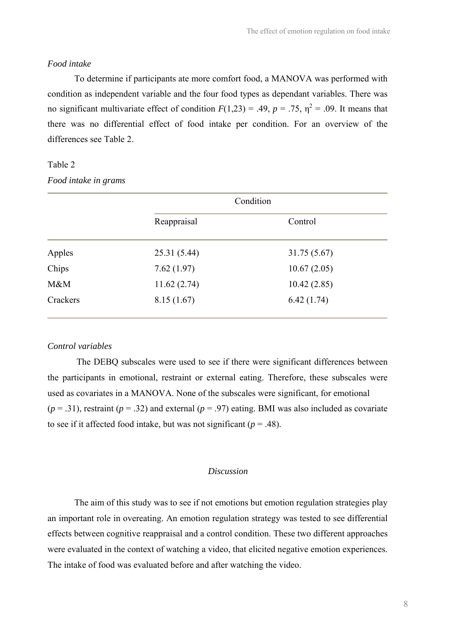#### *Food intake*

To determine if participants ate more comfort food, a MANOVA was performed with condition as independent variable and the four food types as dependant variables. There was no significant multivariate effect of condition  $F(1,23) = .49$ ,  $p = .75$ ,  $\eta^2 = .09$ . It means that there was no differential effect of food intake per condition. For an overview of the differences see Table 2.

## Table 2

*Food intake in grams* 

|          | Condition    |              |
|----------|--------------|--------------|
|          | Reappraisal  | Control      |
| Apples   | 25.31 (5.44) | 31.75 (5.67) |
| Chips    | 7.62(1.97)   | 10.67(2.05)  |
| M&M      | 11.62(2.74)  | 10.42(2.85)  |
| Crackers | 8.15(1.67)   | 6.42(1.74)   |

### *Control variables*

The DEBQ subscales were used to see if there were significant differences between the participants in emotional, restraint or external eating. Therefore, these subscales were used as covariates in a MANOVA. None of the subscales were significant, for emotional  $(p = .31)$ , restraint  $(p = .32)$  and external  $(p = .97)$  eating. BMI was also included as covariate to see if it affected food intake, but was not significant ( $p = .48$ ).

#### *Discussion*

The aim of this study was to see if not emotions but emotion regulation strategies play an important role in overeating. An emotion regulation strategy was tested to see differential effects between cognitive reappraisal and a control condition. These two different approaches were evaluated in the context of watching a video, that elicited negative emotion experiences. The intake of food was evaluated before and after watching the video.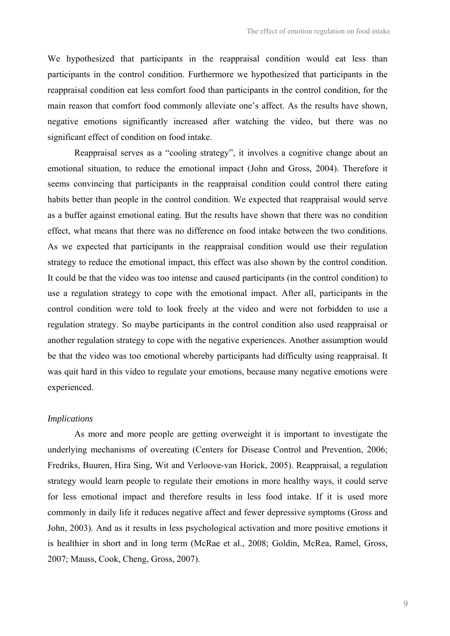We hypothesized that participants in the reappraisal condition would eat less than participants in the control condition. Furthermore we hypothesized that participants in the reappraisal condition eat less comfort food than participants in the control condition, for the main reason that comfort food commonly alleviate one's affect. As the results have shown, negative emotions significantly increased after watching the video, but there was no significant effect of condition on food intake.

Reappraisal serves as a "cooling strategy", it involves a cognitive change about an emotional situation, to reduce the emotional impact (John and Gross, 2004). Therefore it seems convincing that participants in the reappraisal condition could control there eating habits better than people in the control condition. We expected that reappraisal would serve as a buffer against emotional eating. But the results have shown that there was no condition effect, what means that there was no difference on food intake between the two conditions. As we expected that participants in the reappraisal condition would use their regulation strategy to reduce the emotional impact, this effect was also shown by the control condition. It could be that the video was too intense and caused participants (in the control condition) to use a regulation strategy to cope with the emotional impact. After all, participants in the control condition were told to look freely at the video and were not forbidden to use a regulation strategy. So maybe participants in the control condition also used reappraisal or another regulation strategy to cope with the negative experiences. Another assumption would be that the video was too emotional whereby participants had difficulty using reappraisal. It was quit hard in this video to regulate your emotions, because many negative emotions were experienced.

## *Implications*

As more and more people are getting overweight it is important to investigate the underlying mechanisms of overeating (Centers for Disease Control and Prevention, 2006; Fredriks, Buuren, Hira Sing, Wit and Verloove-van Horick, 2005). Reappraisal, a regulation strategy would learn people to regulate their emotions in more healthy ways, it could serve for less emotional impact and therefore results in less food intake. If it is used more commonly in daily life it reduces negative affect and fewer depressive symptoms (Gross and John, 2003). And as it results in less psychological activation and more positive emotions it is healthier in short and in long term (McRae et al., 2008; Goldin, McRea, Ramel, Gross, 2007; Mauss, Cook, Cheng, Gross, 2007).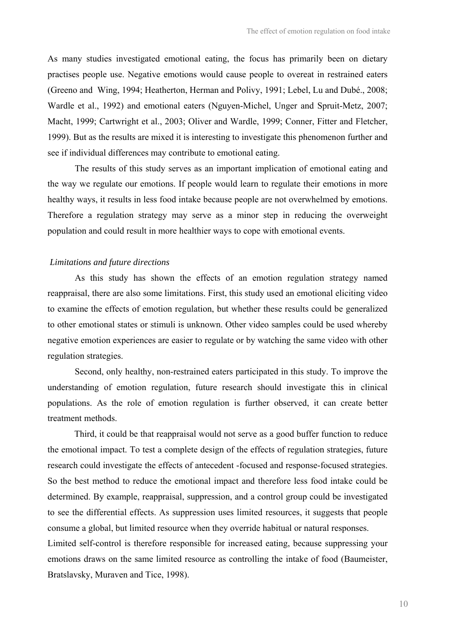As many studies investigated emotional eating, the focus has primarily been on dietary practises people use. Negative emotions would cause people to overeat in restrained eaters (Greeno and Wing, 1994; Heatherton, Herman and Polivy, 1991; Lebel, Lu and Dubé., 2008; Wardle et al., 1992) and emotional eaters (Nguyen-Michel, Unger and Spruit-Metz, 2007; Macht, 1999; Cartwright et al., 2003; Oliver and Wardle, 1999; Conner, Fitter and Fletcher, 1999). But as the results are mixed it is interesting to investigate this phenomenon further and see if individual differences may contribute to emotional eating.

 The results of this study serves as an important implication of emotional eating and the way we regulate our emotions. If people would learn to regulate their emotions in more healthy ways, it results in less food intake because people are not overwhelmed by emotions. Therefore a regulation strategy may serve as a minor step in reducing the overweight population and could result in more healthier ways to cope with emotional events.

### *Limitations and future directions*

 As this study has shown the effects of an emotion regulation strategy named reappraisal, there are also some limitations. First, this study used an emotional eliciting video to examine the effects of emotion regulation, but whether these results could be generalized to other emotional states or stimuli is unknown. Other video samples could be used whereby negative emotion experiences are easier to regulate or by watching the same video with other regulation strategies.

 Second, only healthy, non-restrained eaters participated in this study. To improve the understanding of emotion regulation, future research should investigate this in clinical populations. As the role of emotion regulation is further observed, it can create better treatment methods.

Third, it could be that reappraisal would not serve as a good buffer function to reduce the emotional impact. To test a complete design of the effects of regulation strategies, future research could investigate the effects of antecedent -focused and response-focused strategies. So the best method to reduce the emotional impact and therefore less food intake could be determined. By example, reappraisal, suppression, and a control group could be investigated to see the differential effects. As suppression uses limited resources, it suggests that people consume a global, but limited resource when they override habitual or natural responses. Limited self-control is therefore responsible for increased eating, because suppressing your emotions draws on the same limited resource as controlling the intake of food (Baumeister, Bratslavsky, Muraven and Tice, 1998).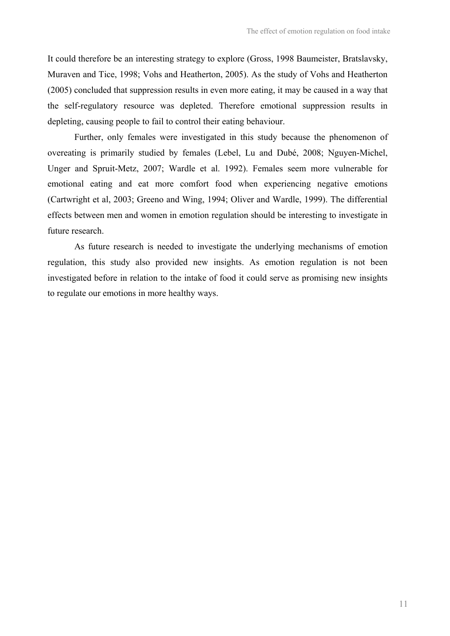It could therefore be an interesting strategy to explore (Gross, 1998 Baumeister, Bratslavsky, Muraven and Tice, 1998; Vohs and Heatherton, 2005). As the study of Vohs and Heatherton (2005) concluded that suppression results in even more eating, it may be caused in a way that the self-regulatory resource was depleted. Therefore emotional suppression results in depleting, causing people to fail to control their eating behaviour.

Further, only females were investigated in this study because the phenomenon of overeating is primarily studied by females (Lebel, Lu and Dubé, 2008; Nguyen-Michel, Unger and Spruit-Metz, 2007; Wardle et al. 1992). Females seem more vulnerable for emotional eating and eat more comfort food when experiencing negative emotions (Cartwright et al, 2003; Greeno and Wing, 1994; Oliver and Wardle, 1999). The differential effects between men and women in emotion regulation should be interesting to investigate in future research.

 As future research is needed to investigate the underlying mechanisms of emotion regulation, this study also provided new insights. As emotion regulation is not been investigated before in relation to the intake of food it could serve as promising new insights to regulate our emotions in more healthy ways.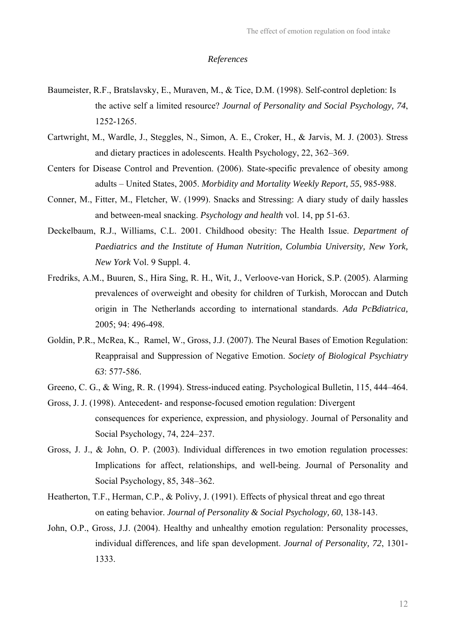#### *References*

- Baumeister, R.F., Bratslavsky, E., Muraven, M., & Tice, D.M. (1998). Self-control depletion: Is the active self a limited resource? *Journal of Personality and Social Psychology, 74*, 1252-1265.
- Cartwright, M., Wardle, J., Steggles, N., Simon, A. E., Croker, H., & Jarvis, M. J. (2003). Stress and dietary practices in adolescents. Health Psychology, 22, 362–369.
- Centers for Disease Control and Prevention. (2006). State-specific prevalence of obesity among adults – United States, 2005. *Morbidity and Mortality Weekly Report, 55*, 985-988.
- Conner, M., Fitter, M., Fletcher, W. (1999). Snacks and Stressing: A diary study of daily hassles and between-meal snacking. *Psychology and health* vol. 14, pp 51-63.
- Deckelbaum, R.J., Williams, C.L. 2001. Childhood obesity: The Health Issue. *Department of Paediatrics and the Institute of Human Nutrition, Columbia University, New York, New York* Vol. 9 Suppl. 4.
- Fredriks, A.M., Buuren, S., Hira Sing, R. H., Wit, J., Verloove-van Horick, S.P. (2005). Alarming prevalences of overweight and obesity for children of Turkish, Moroccan and Dutch origin in The Netherlands according to international standards. *Ada PcBdiatrica,*  2005; 94: 496-498.
- Goldin, P.R., McRea, K., Ramel, W., Gross, J.J. (2007). The Neural Bases of Emotion Regulation: Reappraisal and Suppression of Negative Emotion. *Society of Biological Psychiatry 63*: 577-586.
- Greeno, C. G., & Wing, R. R. (1994). Stress-induced eating. Psychological Bulletin, 115, 444–464.
- Gross, J. J. (1998). Antecedent- and response-focused emotion regulation: Divergent consequences for experience, expression, and physiology. Journal of Personality and Social Psychology, 74, 224–237.
- Gross, J. J., & John, O. P. (2003). Individual differences in two emotion regulation processes: Implications for affect, relationships, and well-being. Journal of Personality and Social Psychology, 85, 348–362.
- Heatherton, T.F., Herman, C.P., & Polivy, J. (1991). Effects of physical threat and ego threat on eating behavior. *Journal of Personality & Social Psychology, 60*, 138-143.
- John, O.P., Gross, J.J. (2004). Healthy and unhealthy emotion regulation: Personality processes, individual differences, and life span development. *Journal of Personality, 72*, 1301- 1333.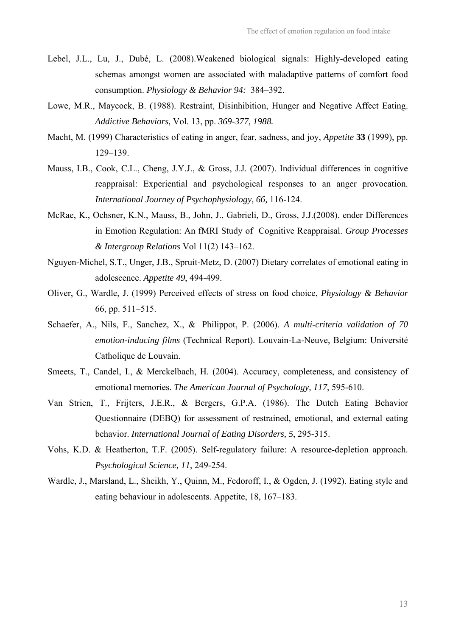- Lebel, J.L., Lu, J., Dubé, L. (2008).Weakened biological signals: Highly-developed eating schemas amongst women are associated with maladaptive patterns of comfort food consumption. *Physiology & Behavior 94:* 384–392.
- Lowe, M.R., Maycock, B. (1988). Restraint, Disinhibition, Hunger and Negative Affect Eating. *Addictive Behaviors,* Vol. 13, pp. *369-377, 1988.*
- Macht, M. (1999) Characteristics of eating in anger, fear, sadness, and joy, *Appetite* **33** (1999), pp. 129–139.
- Mauss, I.B., Cook, C.L., Cheng, J.Y.J., & Gross, J.J. (2007). Individual differences in cognitive reappraisal: Experiential and psychological responses to an anger provocation. *International Journey of Psychophysiology, 66,* 116-124.
- McRae, K., Ochsner, K.N., Mauss, B., John, J., Gabrieli, D., Gross, J.J.(2008). ender Differences in Emotion Regulation: An fMRI Study of Cognitive Reappraisal. *Group Processes & Intergroup Relations* Vol 11(2) 143–162.
- Nguyen-Michel, S.T., Unger, J.B., Spruit-Metz, D. (2007) Dietary correlates of emotional eating in adolescence. *Appetite 49*, 494-499.
- Oliver, G., Wardle, J. (1999) Perceived effects of stress on food choice, *Physiology & Behavior* 66, pp. 511–515.
- Schaefer, A., Nils, F., Sanchez, X., & Philippot, P. (2006). *A multi-criteria validation of 70 emotion-inducing films* (Technical Report). Louvain-La-Neuve, Belgium: Université Catholique de Louvain.
- Smeets, T., Candel, I., & Merckelbach, H. (2004). Accuracy, completeness, and consistency of emotional memories. *The American Journal of Psychology, 117*, 595-610.
- Van Strien, T., Frijters, J.E.R., & Bergers, G.P.A. (1986). The Dutch Eating Behavior Questionnaire (DEBQ) for assessment of restrained, emotional, and external eating behavior. *International Journal of Eating Disorders, 5*, 295-315.
- Vohs, K.D. & Heatherton, T.F. (2005). Self-regulatory failure: A resource-depletion approach. *Psychological Science, 11*, 249-254.
- Wardle, J., Marsland, L., Sheikh, Y., Quinn, M., Fedoroff, I., & Ogden, J. (1992). Eating style and eating behaviour in adolescents. Appetite, 18, 167–183.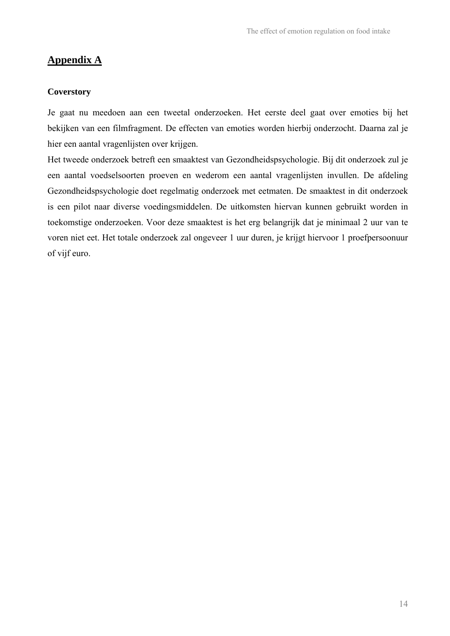# **Appendix A**

## **Coverstory**

Je gaat nu meedoen aan een tweetal onderzoeken. Het eerste deel gaat over emoties bij het bekijken van een filmfragment. De effecten van emoties worden hierbij onderzocht. Daarna zal je hier een aantal vragenlijsten over krijgen.

Het tweede onderzoek betreft een smaaktest van Gezondheidspsychologie. Bij dit onderzoek zul je een aantal voedselsoorten proeven en wederom een aantal vragenlijsten invullen. De afdeling Gezondheidspsychologie doet regelmatig onderzoek met eetmaten. De smaaktest in dit onderzoek is een pilot naar diverse voedingsmiddelen. De uitkomsten hiervan kunnen gebruikt worden in toekomstige onderzoeken. Voor deze smaaktest is het erg belangrijk dat je minimaal 2 uur van te voren niet eet. Het totale onderzoek zal ongeveer 1 uur duren, je krijgt hiervoor 1 proefpersoonuur of vijf euro.